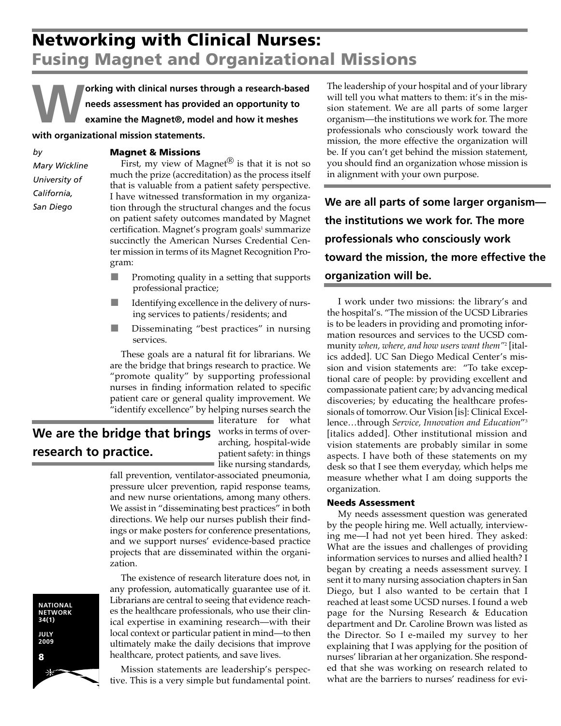**Working with clinical nurses through a research-based needs assessment has provided an opportunity to examine the Magnet®' model and how it meshes with organizational mission statements.**

## **Magnet & Missions**

*Mary Wickline University of California, San Diego*

*by*

First, my view of Magnet $^{(8)}$  is that it is not so much the prize (accreditation) as the process itself that is valuable from a patient safety perspective. I have witnessed transformation in my organization through the structural changes and the focus on patient safety outcomes mandated by Magnet  $c$ ertification. Magnet's program goals $1$  summarize succinctly the American Nurses Credential Center mission in terms of its Magnet Recognition Program:

- Promoting quality in a setting that supports professional practice;
- Identifying excellence in the delivery of nursing services to patients/residents; and
- Disseminating "best practices" in nursing services.

These goals are a natural fit for librarians. We are the bridge that brings research to practice. We "promote quality" by supporting professional nurses in finding information related to specific patient care or general quality improvement. We "identify excellence" by helping nurses search the

**We are the bridge that brings** works in terms of over**research to practice.** 

literature for what arching, hospital-wide patient safety: in things like nursing standards,

fall prevention, ventilator-associated pneumonia, pressure ulcer prevention, rapid response teams, and new nurse orientations, among many others. We assist in "disseminating best practices" in both directions. We help our nurses publish their findings or make posters for conference presentations, and we support nurses' evidence-based practice projects that are disseminated within the organization.

The existence of research literature does not, in any profession, automatically guarantee use of it. Librarians are central to seeing that evidence reaches the healthcare professionals, who use their clinical expertise in examining research—with their local context or particular patient in mind—to then ultimately make the daily decisions that improve healthcare, protect patients, and save lives.

Mission statements are leadership's perspective. This is a very simple but fundamental point. The leadership of your hospital and of your library will tell you what matters to them: it's in the mission statement. We are all parts of some larger organism—the institutions we work for. The more professionals who consciously work toward the mission, the more effective the organization will be. If you can't get behind the mission statement, you should find an organization whose mission is in alignment with your own purpose.

**We are all parts of some larger organism the institutions we work for. The more professionals who consciously work toward the mission, the more effective the organization will be.** 

I work under two missions: the library's and the hospital's. "The mission of the UCSD Libraries is to be leaders in providing and promoting information resources and services to the UCSD community *when, where, and how users want them"*<sup>2</sup> [italics added]. UC San Diego Medical Center's mission and vision statements are: "To take exceptional care of people: by providing excellent and compassionate patient care; by advancing medical discoveries; by educating the healthcare professionals of tomorrow. Our Vision [is]: Clinical Excellence…through *Service, Innovation and Education*"3 [italics added]. Other institutional mission and vision statements are probably similar in some aspects. I have both of these statements on my desk so that I see them everyday, which helps me measure whether what I am doing supports the organization.

## **Needs Assessment**

My needs assessment question was generated by the people hiring me. Well actually, interviewing me—I had not yet been hired. They asked: What are the issues and challenges of providing information services to nurses and allied health? I began by creating a needs assessment survey. I sent it to many nursing association chapters in San Diego, but I also wanted to be certain that I reached at least some UCSD nurses. I found a web page for the Nursing Research & Education department and Dr. Caroline Brown was listed as the Director. So I e-mailed my survey to her explaining that I was applying for the position of nurses' librarian at her organization. She responded that she was working on research related to what are the barriers to nurses' readiness for evi-